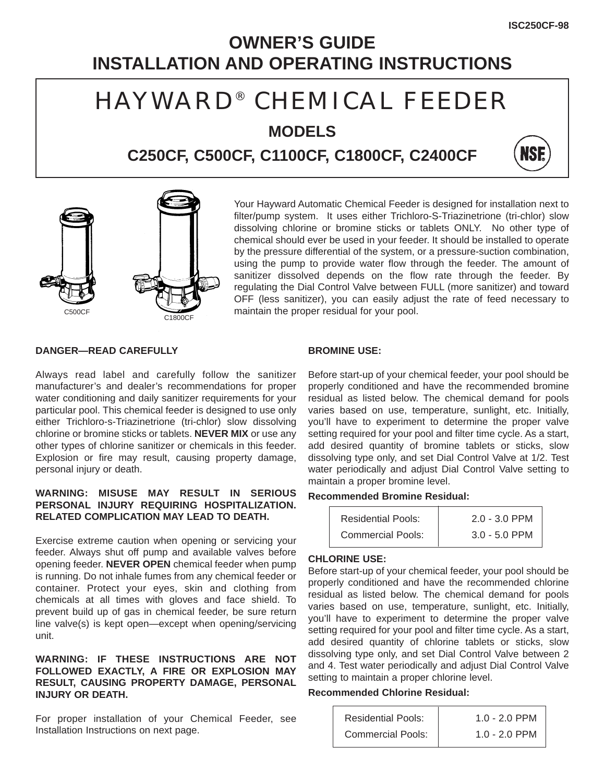## **OWNER'S GUIDE INSTALLATION AND OPERATING INSTRUCTIONS**

## HAYWARD® CHEMICAL FEEDER

**MODELS**

**C250CF, C500CF, C1100CF, C1800CF, C2400CF**





Your Hayward Automatic Chemical Feeder is designed for installation next to filter/pump system. It uses either Trichloro-S-Triazinetrione (tri-chlor) slow dissolving chlorine or bromine sticks or tablets ONLY. No other type of chemical should ever be used in your feeder. It should be installed to operate by the pressure differential of the system, or a pressure-suction combination, using the pump to provide water flow through the feeder. The amount of sanitizer dissolved depends on the flow rate through the feeder. By regulating the Dial Control Valve between FULL (more sanitizer) and toward OFF (less sanitizer), you can easily adjust the rate of feed necessary to maintain the proper residual for your pool.

**DANGER—READ CAREFULLY**

Always read label and carefully follow the sanitizer manufacturer's and dealer's recommendations for proper water conditioning and daily sanitizer requirements for your particular pool. This chemical feeder is designed to use only either Trichloro-s-Triazinetrione (tri-chlor) slow dissolving chlorine or bromine sticks or tablets. **NEVER MIX** or use any other types of chlorine sanitizer or chemicals in this feeder. Explosion or fire may result, causing property damage, personal injury or death.

## **WARNING: MISUSE MAY RESULT IN SERIOUS PERSONAL INJURY REQUIRING HOSPITALIZATION. RELATED COMPLICATION MAY LEAD TO DEATH.**

Exercise extreme caution when opening or servicing your feeder. Always shut off pump and available valves before opening feeder. **NEVER OPEN** chemical feeder when pump is running. Do not inhale fumes from any chemical feeder or container. Protect your eyes, skin and clothing from chemicals at all times with gloves and face shield. To prevent build up of gas in chemical feeder, be sure return line valve(s) is kept open—except when opening/servicing unit.

## **WARNING: IF THESE INSTRUCTIONS ARE NOT FOLLOWED EXACTLY, A FIRE OR EXPLOSION MAY RESULT, CAUSING PROPERTY DAMAGE, PERSONAL INJURY OR DEATH.**

For proper installation of your Chemical Feeder, see Installation Instructions on next page.

## **BROMINE USE:**

Before start-up of your chemical feeder, your pool should be properly conditioned and have the recommended bromine residual as listed below. The chemical demand for pools varies based on use, temperature, sunlight, etc. Initially, you'll have to experiment to determine the proper valve setting required for your pool and filter time cycle. As a start, add desired quantity of bromine tablets or sticks, slow dissolving type only, and set Dial Control Valve at 1/2. Test water periodically and adjust Dial Control Valve setting to maintain a proper bromine level.

## **Recommended Bromine Residual:**

| <b>Residential Pools:</b> | $2.0 - 3.0$ PPM |
|---------------------------|-----------------|
| <b>Commercial Pools:</b>  | $3.0 - 5.0$ PPM |

## **CHLORINE USE:**

Before start-up of your chemical feeder, your pool should be properly conditioned and have the recommended chlorine residual as listed below. The chemical demand for pools varies based on use, temperature, sunlight, etc. Initially, you'll have to experiment to determine the proper valve setting required for your pool and filter time cycle. As a start, add desired quantity of chlorine tablets or sticks, slow dissolving type only, and set Dial Control Valve between 2 and 4. Test water periodically and adjust Dial Control Valve setting to maintain a proper chlorine level.

## **Recommended Chlorine Residual:**

| <b>Residential Pools:</b> | $1.0 - 2.0$ PPM |
|---------------------------|-----------------|
| <b>Commercial Pools:</b>  | $1.0 - 2.0$ PPM |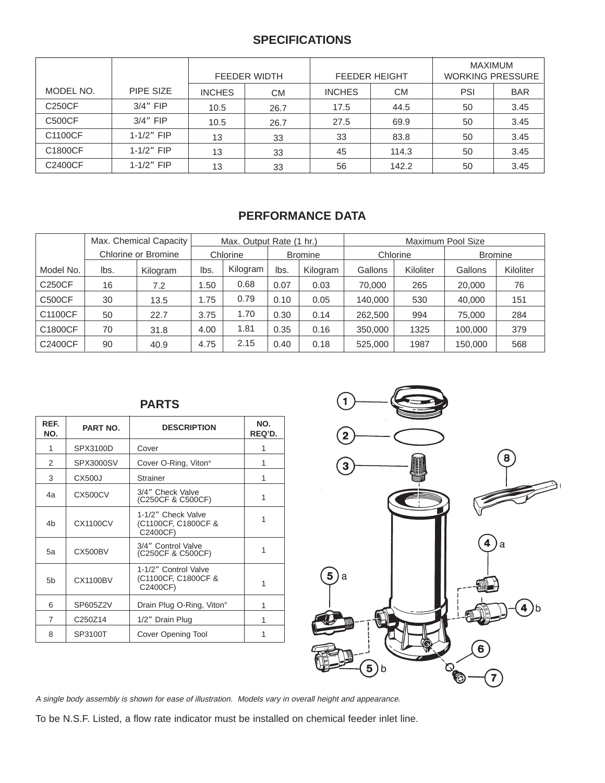## **SPECIFICATIONS**

|               |                | FEEDER WIDTH  |           | <b>FEEDER HEIGHT</b> |           | <b>MAXIMUM</b><br><b>WORKING PRESSURE</b> |            |
|---------------|----------------|---------------|-----------|----------------------|-----------|-------------------------------------------|------------|
| MODEL NO.     | PIPE SIZE      | <b>INCHES</b> | <b>CM</b> | <b>INCHES</b>        | <b>CM</b> | PSI                                       | <b>BAR</b> |
| C250CF        | $3/4$ " FIP    | 10.5          | 26.7      | 17.5                 | 44.5      | 50                                        | 3.45       |
| <b>C500CF</b> | $3/4$ " FIP    | 10.5          | 26.7      | 27.5                 | 69.9      | 50                                        | 3.45       |
| C1100CF       | $1 - 1/2"$ FIP | 13            | 33        | 33                   | 83.8      | 50                                        | 3.45       |
| C1800CF       | $1 - 1/2"$ FIP | 13            | 33        | 45                   | 114.3     | 50                                        | 3.45       |
| C2400CF       | $1 - 1/2"$ FIP | 13            | 33        | 56                   | 142.2     | 50                                        | 3.45       |

## **PERFORMANCE DATA**

|               |      | Max. Chemical Capacity | Max. Output Rate (1 hr.) |          |                |          | Maximum Pool Size |           |                |           |
|---------------|------|------------------------|--------------------------|----------|----------------|----------|-------------------|-----------|----------------|-----------|
|               |      | Chlorine or Bromine    | Chlorine                 |          | <b>Bromine</b> |          | Chlorine          |           | <b>Bromine</b> |           |
| Model No.     | lbs. | Kilogram               | lbs.                     | Kilogram | lbs.           | Kilogram | Gallons           | Kiloliter | Gallons        | Kiloliter |
| <b>C250CF</b> | 16   | 7.2                    | .50                      | 0.68     | 0.07           | 0.03     | 70,000            | 265       | 20,000         | 76        |
| <b>C500CF</b> | 30   | 13.5                   | 1.75                     | 0.79     | 0.10           | 0.05     | 140.000           | 530       | 40,000         | 151       |
| C1100CF       | 50   | 22.7                   | 3.75                     | 1.70     | 0.30           | 0.14     | 262,500           | 994       | 75.000         | 284       |
| C1800CF       | 70   | 31.8                   | 4.00                     | 1.81     | 0.35           | 0.16     | 350,000           | 1325      | 100,000        | 379       |
| C2400CF       | 90   | 40.9                   | 4.75                     | 2.15     | 0.40           | 0.18     | 525,000           | 1987      | 150,000        | 568       |

## **PARTS**

| REF.<br>NO.    | <b>PART NO.</b>  | <b>DESCRIPTION</b>                                      | NO.<br>REQ'D. |
|----------------|------------------|---------------------------------------------------------|---------------|
| 1              | SPX3100D         | Cover                                                   | 1             |
| 2              | <b>SPX3000SV</b> | Cover O-Ring, Viton <sup>®</sup>                        | 1             |
| 3              | <b>CX500J</b>    | <b>Strainer</b>                                         | 1             |
| 4a             | CX500CV          | 3/4" Check Valve<br>(C250CF & C500CF)                   | 1             |
| 4b             | <b>CX1100CV</b>  | 1-1/2" Check Valve<br>(C1100CF, C1800CF &<br>C2400CF)   | 1             |
| 5a             | CX500BV          | 3/4" Control Valve<br>(C250CF & C500CF)                 | 1             |
| 5 <sub>b</sub> | <b>CX1100BV</b>  | 1-1/2" Control Valve<br>(C1100CF, C1800CF &<br>C2400CF) | 1             |
| 6              | SP605Z2V         | Drain Plug O-Ring, Viton <sup>®</sup>                   | 1             |
| $\overline{7}$ | C250Z14          | 1/2" Drain Plug                                         | 1             |
| 8              | SP3100T          | Cover Opening Tool                                      | 1             |



A single body assembly is shown for ease of illustration. Models vary in overall height and appearance.

To be N.S.F. Listed, a flow rate indicator must be installed on chemical feeder inlet line.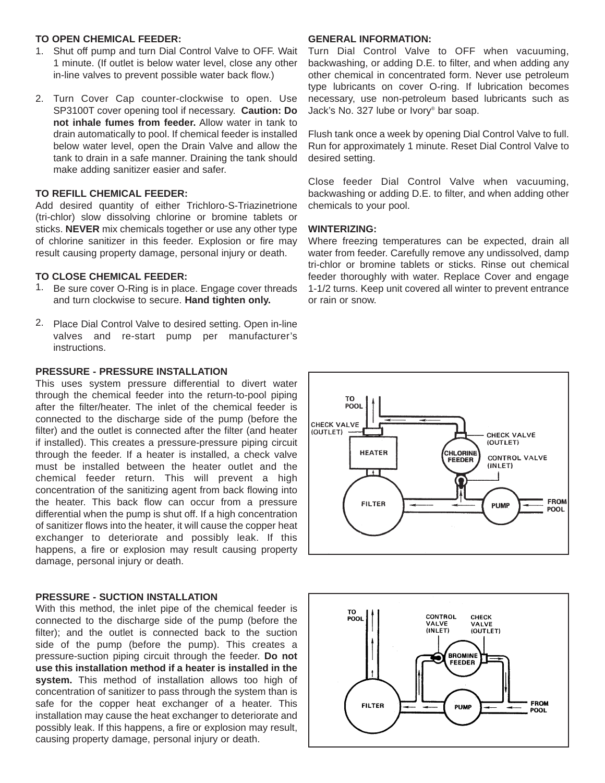## **TO OPEN CHEMICAL FEEDER:**

- 1. Shut off pump and turn Dial Control Valve to OFF. Wait 1 minute. (If outlet is below water level, close any other in-line valves to prevent possible water back flow.)
- 2. Turn Cover Cap counter-clockwise to open. Use SP3100T cover opening tool if necessary. **Caution: Do not inhale fumes from feeder.** Allow water in tank to drain automatically to pool. If chemical feeder is installed below water level, open the Drain Valve and allow the tank to drain in a safe manner. Draining the tank should make adding sanitizer easier and safer.

#### **TO REFILL CHEMICAL FEEDER:**

Add desired quantity of either Trichloro-S-Triazinetrione (tri-chlor) slow dissolving chlorine or bromine tablets or sticks. **NEVER** mix chemicals together or use any other type of chlorine sanitizer in this feeder. Explosion or fire may result causing property damage, personal injury or death.

#### **TO CLOSE CHEMICAL FEEDER:**

- 1. Be sure cover O-Ring is in place. Engage cover threads and turn clockwise to secure. **Hand tighten only.**
- 2. Place Dial Control Valve to desired setting. Open in-line valves and re-start pump per manufacturer's instructions.

## **PRESSURE - PRESSURE INSTALLATION**

This uses system pressure differential to divert water through the chemical feeder into the return-to-pool piping after the filter/heater. The inlet of the chemical feeder is connected to the discharge side of the pump (before the filter) and the outlet is connected after the filter (and heater if installed). This creates a pressure-pressure piping circuit through the feeder. If a heater is installed, a check valve must be installed between the heater outlet and the chemical feeder return. This will prevent a high concentration of the sanitizing agent from back flowing into the heater. This back flow can occur from a pressure differential when the pump is shut off. If a high concentration of sanitizer flows into the heater, it will cause the copper heat exchanger to deteriorate and possibly leak. If this happens, a fire or explosion may result causing property damage, personal injury or death.

#### **PRESSURE - SUCTION INSTALLATION**

With this method, the inlet pipe of the chemical feeder is connected to the discharge side of the pump (before the filter); and the outlet is connected back to the suction side of the pump (before the pump). This creates a pressure-suction piping circuit through the feeder. **Do not use this installation method if a heater is installed in the system.** This method of installation allows too high of concentration of sanitizer to pass through the system than is safe for the copper heat exchanger of a heater. This installation may cause the heat exchanger to deteriorate and possibly leak. If this happens, a fire or explosion may result, causing property damage, personal injury or death.

### **GENERAL INFORMATION:**

Turn Dial Control Valve to OFF when vacuuming, backwashing, or adding D.E. to filter, and when adding any other chemical in concentrated form. Never use petroleum type lubricants on cover O-ring. If lubrication becomes necessary, use non-petroleum based lubricants such as Jack's No. 327 lube or Ivory® bar soap.

Flush tank once a week by opening Dial Control Valve to full. Run for approximately 1 minute. Reset Dial Control Valve to desired setting.

Close feeder Dial Control Valve when vacuuming, backwashing or adding D.E. to filter, and when adding other chemicals to your pool.

## **WINTERIZING:**

Where freezing temperatures can be expected, drain all water from feeder. Carefully remove any undissolved, damp tri-chlor or bromine tablets or sticks. Rinse out chemical feeder thoroughly with water. Replace Cover and engage 1-1/2 turns. Keep unit covered all winter to prevent entrance or rain or snow.